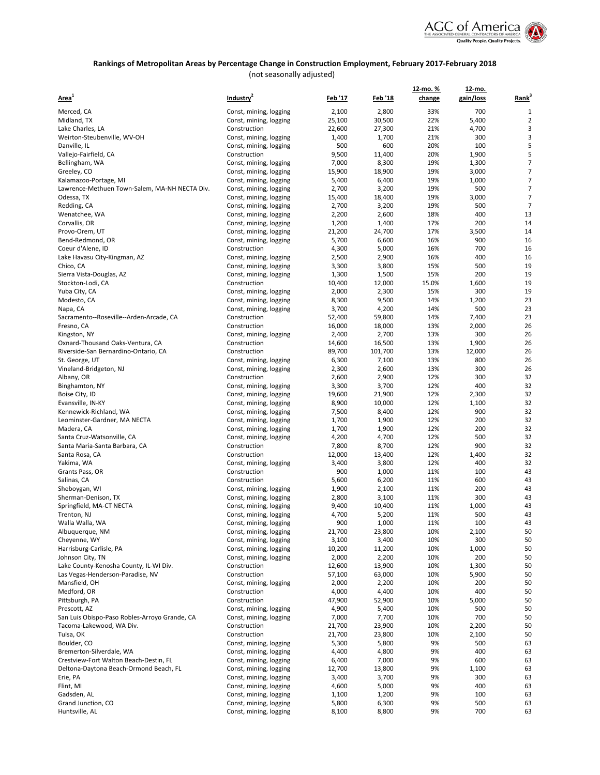

# **Rankings of Metropolitan Areas by Percentage Change in Construction Employment, February 2017-February 2018**

(not seasonally adjusted)

|                                               |                        |                |                | <u>12-mo. %</u> | 12-mo.    |                   |
|-----------------------------------------------|------------------------|----------------|----------------|-----------------|-----------|-------------------|
| Area <sup>1</sup>                             | Industry <sup>2</sup>  | <u>Feb '17</u> | <u>Feb '18</u> | change          | gain/loss | Rank <sup>3</sup> |
| Merced, CA                                    | Const, mining, logging | 2,100          | 2,800          | 33%             | 700       | 1                 |
| Midland, TX                                   | Const, mining, logging | 25,100         | 30,500         | 22%             | 5,400     | $\overline{2}$    |
| Lake Charles, LA                              | Construction           | 22,600         | 27,300         | 21%             | 4,700     | 3                 |
| Weirton-Steubenville, WV-OH                   | Const, mining, logging | 1,400          | 1,700          | 21%             | 300       | 3                 |
| Danville, IL                                  | Const, mining, logging | 500            | 600            | 20%             | 100       | 5                 |
| Vallejo-Fairfield, CA                         | Construction           | 9,500          | 11,400         | 20%             | 1,900     | 5                 |
|                                               |                        |                | 8,300          |                 |           | $\overline{7}$    |
| Bellingham, WA                                | Const, mining, logging | 7,000          |                | 19%             | 1,300     | 7                 |
| Greeley, CO                                   | Const, mining, logging | 15,900         | 18,900         | 19%             | 3,000     |                   |
| Kalamazoo-Portage, MI                         | Const, mining, logging | 5,400          | 6,400          | 19%             | 1,000     | 7                 |
| Lawrence-Methuen Town-Salem, MA-NH NECTA Div. | Const, mining, logging | 2,700          | 3,200          | 19%             | 500       | 7                 |
| Odessa, TX                                    | Const, mining, logging | 15,400         | 18,400         | 19%             | 3,000     | 7                 |
| Redding, CA                                   | Const, mining, logging | 2,700          | 3,200          | 19%             | 500       | 7                 |
| Wenatchee, WA                                 | Const, mining, logging | 2,200          | 2,600          | 18%             | 400       | 13                |
| Corvallis, OR                                 | Const, mining, logging | 1,200          | 1,400          | 17%             | 200       | 14                |
| Provo-Orem, UT                                | Const, mining, logging | 21,200         | 24,700         | 17%             | 3,500     | 14                |
| Bend-Redmond, OR                              | Const, mining, logging | 5,700          | 6,600          | 16%             | 900       | 16                |
| Coeur d'Alene, ID                             | Construction           | 4,300          | 5,000          | 16%             | 700       | 16                |
| Lake Havasu City-Kingman, AZ                  | Const, mining, logging | 2,500          | 2,900          | 16%             | 400       | 16                |
| Chico, CA                                     | Const, mining, logging | 3,300          | 3,800          | 15%             | 500       | 19                |
| Sierra Vista-Douglas, AZ                      | Const, mining, logging | 1,300          | 1,500          | 15%             | 200       | 19                |
| Stockton-Lodi, CA                             | Construction           | 10,400         | 12,000         | 15.0%           | 1,600     | 19                |
| Yuba City, CA                                 | Const, mining, logging | 2,000          | 2,300          | 15%             | 300       | 19                |
| Modesto, CA                                   | Const, mining, logging | 8,300          | 9,500          | 14%             | 1,200     | 23                |
| Napa, CA                                      | Const, mining, logging | 3,700          | 4,200          | 14%             | 500       | 23                |
| Sacramento--Roseville--Arden-Arcade, CA       | Construction           | 52,400         | 59,800         | 14%             | 7,400     | 23                |
| Fresno, CA                                    | Construction           | 16,000         | 18,000         | 13%             | 2,000     | 26                |
| Kingston, NY                                  | Const, mining, logging | 2,400          | 2,700          | 13%             | 300       | 26                |
| Oxnard-Thousand Oaks-Ventura, CA              | Construction           | 14,600         | 16,500         | 13%             | 1,900     | 26                |
| Riverside-San Bernardino-Ontario, CA          | Construction           | 89,700         | 101,700        | 13%             | 12,000    | 26                |
| St. George, UT                                | Const, mining, logging | 6,300          | 7,100          | 13%             | 800       | 26                |
|                                               | Const, mining, logging |                |                | 13%             | 300       | 26                |
| Vineland-Bridgeton, NJ                        |                        | 2,300          | 2,600          |                 |           |                   |
| Albany, OR                                    | Construction           | 2,600          | 2,900          | 12%             | 300       | 32                |
| Binghamton, NY                                | Const, mining, logging | 3,300          | 3,700          | 12%             | 400       | 32                |
| Boise City, ID                                | Const, mining, logging | 19,600         | 21,900         | 12%             | 2,300     | 32                |
| Evansville, IN-KY                             | Const, mining, logging | 8,900          | 10,000         | 12%             | 1,100     | 32                |
| Kennewick-Richland, WA                        | Const, mining, logging | 7,500          | 8,400          | 12%             | 900       | 32                |
| Leominster-Gardner, MA NECTA                  | Const, mining, logging | 1,700          | 1,900          | 12%             | 200       | 32                |
| Madera, CA                                    | Const, mining, logging | 1,700          | 1,900          | 12%             | 200       | 32                |
| Santa Cruz-Watsonville, CA                    | Const, mining, logging | 4,200          | 4,700          | 12%             | 500       | 32                |
| Santa Maria-Santa Barbara, CA                 | Construction           | 7,800          | 8,700          | 12%             | 900       | 32                |
| Santa Rosa, CA                                | Construction           | 12,000         | 13,400         | 12%             | 1,400     | 32                |
| Yakima, WA                                    | Const, mining, logging | 3,400          | 3,800          | 12%             | 400       | 32                |
| Grants Pass, OR                               | Construction           | 900            | 1,000          | 11%             | 100       | 43                |
| Salinas, CA                                   | Construction           | 5,600          | 6,200          | 11%             | 600       | 43                |
| Sheboygan, WI                                 | Const, mining, logging | 1,900          | 2,100          | 11%             | 200       | 43                |
| Sherman-Denison, TX                           | Const, mining, logging | 2,800          | 3,100          | 11%             | 300       | 43                |
| Springfield, MA-CT NECTA                      | Const, mining, logging | 9,400          | 10,400         | 11%             | 1,000     | 43                |
| Trenton, NJ                                   | Const, mining, logging | 4,700          | 5,200          | 11%             | 500       | 43                |
| Walla Walla, WA                               | Const, mining, logging | 900            | 1,000          | 11%             | 100       | 43                |
| Albuquerque, NM                               | Const, mining, logging | 21,700         | 23,800         | 10%             | 2,100     | 50                |
| Cheyenne, WY                                  | Const, mining, logging | 3,100          | 3,400          | 10%             | 300       | 50                |
| Harrisburg-Carlisle, PA                       | Const, mining, logging | 10,200         | 11,200         | 10%             | 1,000     | 50                |
| Johnson City, TN                              | Const, mining, logging | 2,000          | 2,200          | 10%             | 200       | 50                |
| Lake County-Kenosha County, IL-WI Div.        | Construction           | 12,600         | 13,900         | 10%             | 1,300     | 50                |
| Las Vegas-Henderson-Paradise, NV              | Construction           | 57,100         | 63,000         | 10%             | 5,900     | 50                |
| Mansfield, OH                                 | Const, mining, logging | 2,000          | 2,200          | 10%             | 200       | 50                |
| Medford, OR                                   | Construction           | 4,000          | 4,400          | 10%             | 400       | 50                |
| Pittsburgh, PA                                | Construction           | 47,900         | 52,900         | 10%             | 5,000     | 50                |
| Prescott, AZ                                  | Const, mining, logging | 4,900          | 5,400          | 10%             | 500       | 50                |
|                                               |                        |                |                |                 |           | 50                |
| San Luis Obispo-Paso Robles-Arroyo Grande, CA | Const, mining, logging | 7,000          | 7,700          | 10%             | 700       |                   |
| Tacoma-Lakewood, WA Div.                      | Construction           | 21,700         | 23,900         | 10%             | 2,200     | 50                |
| Tulsa, OK                                     | Construction           | 21,700         | 23,800         | 10%             | 2,100     | 50                |
| Boulder, CO                                   | Const, mining, logging | 5,300          | 5,800          | 9%              | 500       | 63                |
| Bremerton-Silverdale, WA                      | Const, mining, logging | 4,400          | 4,800          | 9%              | 400       | 63                |
| Crestview-Fort Walton Beach-Destin, FL        | Const, mining, logging | 6,400          | 7,000          | 9%              | 600       | 63                |
| Deltona-Daytona Beach-Ormond Beach, FL        | Const, mining, logging | 12,700         | 13,800         | 9%              | 1,100     | 63                |
| Erie, PA                                      | Const, mining, logging | 3,400          | 3,700          | 9%              | 300       | 63                |
| Flint, MI                                     | Const, mining, logging | 4,600          | 5,000          | 9%              | 400       | 63                |
| Gadsden, AL                                   | Const, mining, logging | 1,100          | 1,200          | 9%              | 100       | 63                |
| Grand Junction, CO                            | Const, mining, logging | 5,800          | 6,300          | 9%              | 500       | 63                |
| Huntsville, AL                                | Const, mining, logging | 8,100          | 8,800          | 9%              | 700       | 63                |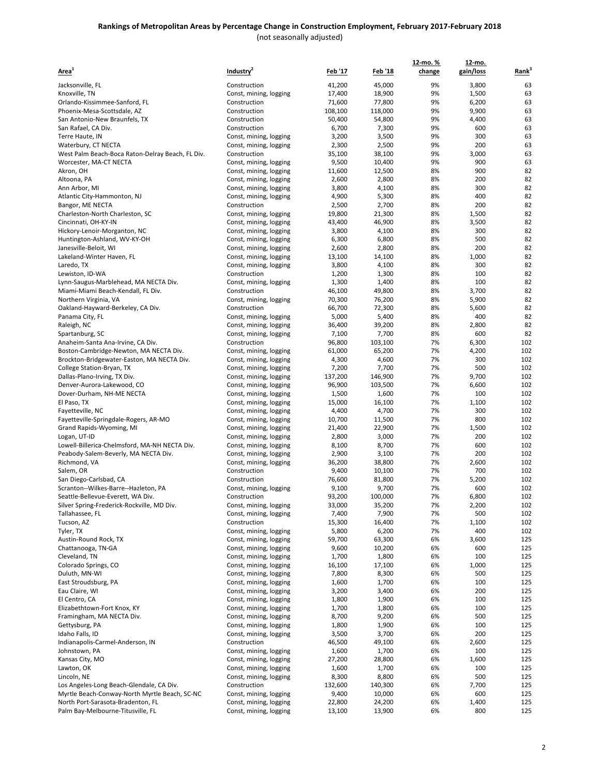| Area <sup>1</sup>                                            | Industry <sup>2</sup>                            | <u>Feb '17</u>   | <u>Feb '18</u>   | 12-mo.%<br>change | 12-mo.<br>gain/loss | Rank <sup>3</sup> |
|--------------------------------------------------------------|--------------------------------------------------|------------------|------------------|-------------------|---------------------|-------------------|
|                                                              | Construction                                     |                  |                  |                   |                     |                   |
| Jacksonville, FL                                             |                                                  | 41,200           | 45,000           | 9%<br>9%          | 3,800               | 63                |
| Knoxville, TN<br>Orlando-Kissimmee-Sanford, FL               | Const, mining, logging<br>Construction           | 17,400<br>71,600 | 18,900<br>77,800 | 9%                | 1,500<br>6,200      | 63<br>63          |
| Phoenix-Mesa-Scottsdale, AZ                                  | Construction                                     | 108,100          | 118,000          | 9%                | 9,900               | 63                |
| San Antonio-New Braunfels, TX                                | Construction                                     | 50,400           | 54,800           | 9%                | 4,400               | 63                |
| San Rafael, CA Div.                                          | Construction                                     | 6,700            | 7,300            | 9%                | 600                 | 63                |
| Terre Haute, IN                                              | Const, mining, logging                           | 3,200            | 3,500            | 9%                | 300                 | 63                |
| Waterbury, CT NECTA                                          | Const, mining, logging                           | 2,300            | 2,500            | 9%                | 200                 | 63                |
| West Palm Beach-Boca Raton-Delray Beach, FL Div.             | Construction                                     | 35,100           | 38,100           | 9%                | 3,000               | 63                |
| Worcester, MA-CT NECTA                                       | Const, mining, logging                           | 9,500            | 10,400           | 9%                | 900                 | 63                |
| Akron, OH                                                    | Const, mining, logging                           | 11,600           | 12,500           | 8%                | 900                 | 82                |
| Altoona, PA                                                  | Const, mining, logging                           | 2,600            | 2,800            | 8%                | 200                 | 82                |
| Ann Arbor, MI                                                | Const, mining, logging                           | 3,800            | 4,100            | 8%                | 300                 | 82                |
| Atlantic City-Hammonton, NJ                                  | Const, mining, logging                           | 4,900            | 5,300            | 8%                | 400                 | 82                |
| Bangor, ME NECTA                                             | Construction                                     | 2,500            | 2,700            | 8%                | 200                 | 82                |
| Charleston-North Charleston, SC                              | Const, mining, logging                           | 19,800           | 21,300           | 8%                | 1,500               | 82                |
| Cincinnati, OH-KY-IN                                         | Const, mining, logging                           | 43,400           | 46,900           | 8%                | 3,500               | 82                |
| Hickory-Lenoir-Morganton, NC<br>Huntington-Ashland, WV-KY-OH | Const, mining, logging                           | 3,800            | 4,100<br>6,800   | 8%<br>8%          | 300<br>500          | 82<br>82          |
| Janesville-Beloit, WI                                        | Const, mining, logging<br>Const, mining, logging | 6,300<br>2,600   | 2,800            | 8%                | 200                 | 82                |
| Lakeland-Winter Haven, FL                                    | Const, mining, logging                           | 13,100           | 14,100           | 8%                | 1,000               | 82                |
| Laredo, TX                                                   | Const, mining, logging                           | 3,800            | 4,100            | 8%                | 300                 | 82                |
| Lewiston, ID-WA                                              | Construction                                     | 1,200            | 1,300            | 8%                | 100                 | 82                |
| Lynn-Saugus-Marblehead, MA NECTA Div.                        | Const, mining, logging                           | 1,300            | 1,400            | 8%                | 100                 | 82                |
| Miami-Miami Beach-Kendall, FL Div.                           | Construction                                     | 46,100           | 49,800           | 8%                | 3,700               | 82                |
| Northern Virginia, VA                                        | Const, mining, logging                           | 70,300           | 76,200           | 8%                | 5,900               | 82                |
| Oakland-Hayward-Berkeley, CA Div.                            | Construction                                     | 66,700           | 72,300           | 8%                | 5,600               | 82                |
| Panama City, FL                                              | Const, mining, logging                           | 5,000            | 5,400            | 8%                | 400                 | 82                |
| Raleigh, NC                                                  | Const, mining, logging                           | 36,400           | 39,200           | 8%                | 2,800               | 82                |
| Spartanburg, SC                                              | Const, mining, logging                           | 7,100            | 7,700            | 8%                | 600                 | 82                |
| Anaheim-Santa Ana-Irvine, CA Div.                            | Construction                                     | 96,800           | 103,100          | 7%                | 6,300               | 102               |
| Boston-Cambridge-Newton, MA NECTA Div.                       | Const, mining, logging                           | 61,000           | 65,200           | 7%                | 4,200               | 102               |
| Brockton-Bridgewater-Easton, MA NECTA Div.                   | Const, mining, logging                           | 4,300            | 4,600            | 7%                | 300                 | 102               |
| College Station-Bryan, TX                                    | Const, mining, logging                           | 7,200            | 7,700            | 7%                | 500                 | 102               |
| Dallas-Plano-Irving, TX Div.                                 | Const, mining, logging                           | 137,200          | 146,900          | 7%                | 9,700               | 102               |
| Denver-Aurora-Lakewood, CO                                   | Const, mining, logging                           | 96,900           | 103,500          | 7%                | 6,600               | 102               |
| Dover-Durham, NH-ME NECTA                                    | Const, mining, logging                           | 1,500            | 1,600            | 7%<br>7%          | 100                 | 102<br>102        |
| El Paso, TX                                                  | Const, mining, logging                           | 15,000           | 16,100           | 7%                | 1,100<br>300        | 102               |
| Fayetteville, NC<br>Fayetteville-Springdale-Rogers, AR-MO    | Const, mining, logging<br>Const, mining, logging | 4,400<br>10,700  | 4,700<br>11,500  | 7%                | 800                 | 102               |
| Grand Rapids-Wyoming, MI                                     | Const, mining, logging                           | 21,400           | 22,900           | 7%                | 1,500               | 102               |
| Logan, UT-ID                                                 | Const, mining, logging                           | 2,800            | 3,000            | 7%                | 200                 | 102               |
| Lowell-Billerica-Chelmsford, MA-NH NECTA Div.                | Const, mining, logging                           | 8,100            | 8,700            | 7%                | 600                 | 102               |
| Peabody-Salem-Beverly, MA NECTA Div.                         | Const, mining, logging                           | 2,900            | 3,100            | 7%                | 200                 | 102               |
| Richmond, VA                                                 | Const, mining, logging                           | 36,200           | 38,800           | 7%                | 2,600               | 102               |
| Salem, OR                                                    | Construction                                     | 9,400            | 10,100           | 7%                | 700                 | 102               |
| San Diego-Carlsbad, CA                                       | Construction                                     | 76,600           | 81,800           | 7%                | 5,200               | 102               |
| Scranton--Wilkes-Barre--Hazleton, PA                         | Const, mining, logging                           | 9,100            | 9,700            | 7%                | 600                 | 102               |
| Seattle-Bellevue-Everett, WA Div.                            | Construction                                     | 93,200           | 100,000          | 7%                | 6,800               | 102               |
| Silver Spring-Frederick-Rockville, MD Div.                   | Const, mining, logging                           | 33,000           | 35,200           | 7%                | 2,200               | 102               |
| Tallahassee, FL                                              | Const, mining, logging                           | 7,400            | 7,900            | 7%                | 500                 | 102               |
| Tucson, AZ                                                   | Construction                                     | 15,300           | 16,400           | 7%                | 1,100               | 102               |
| Tyler, TX                                                    | Const, mining, logging                           | 5,800            | 6,200            | 7%                | 400                 | 102               |
| Austin-Round Rock, TX                                        | Const, mining, logging                           | 59,700           | 63,300           | 6%                | 3,600               | 125               |
| Chattanooga, TN-GA                                           | Const, mining, logging                           | 9,600            | 10,200           | 6%                | 600                 | 125               |
| Cleveland, TN                                                | Const, mining, logging                           | 1,700            | 1,800            | 6%                | 100                 | 125               |
| Colorado Springs, CO                                         | Const, mining, logging                           | 16,100           | 17,100           | 6%                | 1,000               | 125               |
| Duluth, MN-WI<br>East Stroudsburg, PA                        | Const, mining, logging<br>Const, mining, logging | 7,800<br>1,600   | 8,300<br>1,700   | 6%<br>6%          | 500<br>100          | 125<br>125        |
| Eau Claire, WI                                               | Const, mining, logging                           | 3,200            | 3,400            | 6%                | 200                 | 125               |
| El Centro, CA                                                | Const, mining, logging                           | 1,800            | 1,900            | 6%                | 100                 | 125               |
| Elizabethtown-Fort Knox, KY                                  | Const, mining, logging                           | 1,700            | 1,800            | 6%                | 100                 | 125               |
| Framingham, MA NECTA Div.                                    | Const, mining, logging                           | 8,700            | 9,200            | 6%                | 500                 | 125               |
| Gettysburg, PA                                               | Const, mining, logging                           | 1,800            | 1,900            | 6%                | 100                 | 125               |
| Idaho Falls, ID                                              | Const, mining, logging                           | 3,500            | 3,700            | 6%                | 200                 | 125               |
| Indianapolis-Carmel-Anderson, IN                             | Construction                                     | 46,500           | 49,100           | 6%                | 2,600               | 125               |
| Johnstown, PA                                                | Const, mining, logging                           | 1,600            | 1,700            | 6%                | 100                 | 125               |
| Kansas City, MO                                              | Const, mining, logging                           | 27,200           | 28,800           | 6%                | 1,600               | 125               |
| Lawton, OK                                                   | Const, mining, logging                           | 1,600            | 1,700            | 6%                | 100                 | 125               |
| Lincoln, NE                                                  | Const, mining, logging                           | 8,300            | 8,800            | 6%                | 500                 | 125               |
| Los Angeles-Long Beach-Glendale, CA Div.                     | Construction                                     | 132,600          | 140,300          | 6%                | 7,700               | 125               |
| Myrtle Beach-Conway-North Myrtle Beach, SC-NC                | Const, mining, logging                           | 9,400            | 10,000           | 6%                | 600                 | 125               |
| North Port-Sarasota-Bradenton, FL                            | Const, mining, logging                           | 22,800           | 24,200           | 6%                | 1,400               | 125               |
| Palm Bay-Melbourne-Titusville, FL                            | Const, mining, logging                           | 13,100           | 13,900           | 6%                | 800                 | 125               |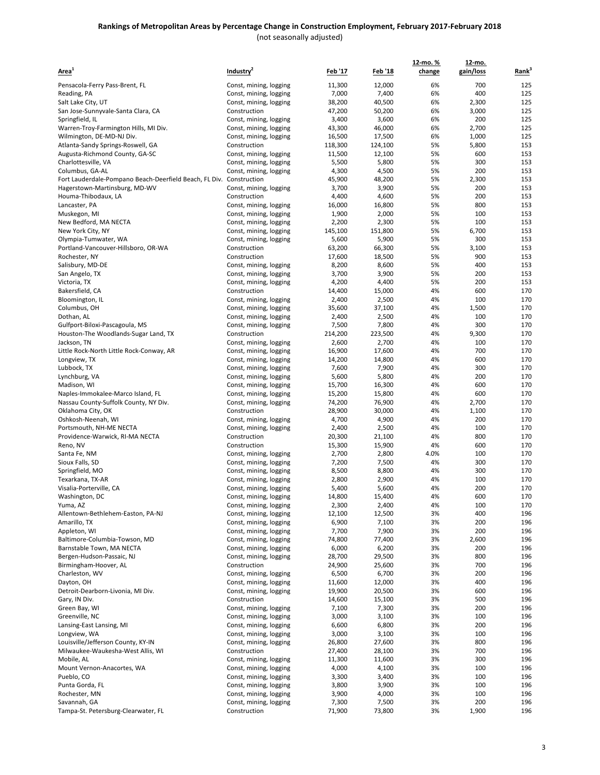|                                                                            |                                                  |                  |                  | 12-mo.%    | 12-mo.       |                   |
|----------------------------------------------------------------------------|--------------------------------------------------|------------------|------------------|------------|--------------|-------------------|
| Area <sup>1</sup>                                                          | Industry <sup>2</sup>                            | <u>Feb '17</u>   | <u>Feb '18</u>   | change     | gain/loss    | Rank <sup>3</sup> |
| Pensacola-Ferry Pass-Brent, FL                                             | Const, mining, logging                           | 11,300           | 12,000           | 6%         | 700          | 125               |
| Reading, PA                                                                | Const, mining, logging                           | 7,000            | 7,400            | 6%         | 400          | 125               |
| Salt Lake City, UT                                                         | Const, mining, logging                           | 38,200           | 40,500           | 6%         | 2,300        | 125               |
| San Jose-Sunnyvale-Santa Clara, CA                                         | Construction                                     | 47,200           | 50,200           | 6%         | 3,000        | 125               |
| Springfield, IL<br>Warren-Troy-Farmington Hills, MI Div.                   | Const, mining, logging<br>Const, mining, logging | 3,400<br>43,300  | 3,600<br>46,000  | 6%<br>6%   | 200<br>2,700 | 125<br>125        |
| Wilmington, DE-MD-NJ Div.                                                  | Const, mining, logging                           | 16,500           | 17,500           | 6%         | 1,000        | 125               |
| Atlanta-Sandy Springs-Roswell, GA                                          | Construction                                     | 118,300          | 124,100          | 5%         | 5,800        | 153               |
| Augusta-Richmond County, GA-SC                                             | Const, mining, logging                           | 11,500           | 12,100           | 5%         | 600          | 153               |
| Charlottesville, VA                                                        | Const, mining, logging                           | 5,500            | 5,800            | 5%         | 300          | 153               |
| Columbus, GA-AL                                                            | Const, mining, logging                           | 4,300            | 4,500            | 5%         | 200          | 153               |
| Fort Lauderdale-Pompano Beach-Deerfield Beach, FL Div. Construction        |                                                  | 45,900           | 48,200           | 5%         | 2,300        | 153               |
| Hagerstown-Martinsburg, MD-WV<br>Houma-Thibodaux, LA                       | Const, mining, logging<br>Construction           | 3,700<br>4,400   | 3,900<br>4,600   | 5%<br>5%   | 200<br>200   | 153<br>153        |
| Lancaster, PA                                                              | Const, mining, logging                           | 16,000           | 16,800           | 5%         | 800          | 153               |
| Muskegon, MI                                                               | Const, mining, logging                           | 1,900            | 2,000            | 5%         | 100          | 153               |
| New Bedford, MA NECTA                                                      | Const, mining, logging                           | 2,200            | 2,300            | 5%         | 100          | 153               |
| New York City, NY                                                          | Const, mining, logging                           | 145,100          | 151,800          | 5%         | 6,700        | 153               |
| Olympia-Tumwater, WA                                                       | Const, mining, logging                           | 5,600            | 5,900            | 5%         | 300          | 153               |
| Portland-Vancouver-Hillsboro, OR-WA<br>Rochester, NY                       | Construction<br>Construction                     | 63,200<br>17,600 | 66,300<br>18,500 | 5%<br>5%   | 3,100<br>900 | 153<br>153        |
| Salisbury, MD-DE                                                           | Const, mining, logging                           | 8,200            | 8,600            | 5%         | 400          | 153               |
| San Angelo, TX                                                             | Const, mining, logging                           | 3,700            | 3,900            | 5%         | 200          | 153               |
| Victoria, TX                                                               | Const, mining, logging                           | 4,200            | 4,400            | 5%         | 200          | 153               |
| Bakersfield, CA                                                            | Construction                                     | 14,400           | 15,000           | 4%         | 600          | 170               |
| Bloomington, IL                                                            | Const, mining, logging                           | 2,400            | 2,500            | 4%         | 100          | 170               |
| Columbus, OH                                                               | Const, mining, logging                           | 35,600           | 37,100           | 4%         | 1,500        | 170               |
| Dothan, AL                                                                 | Const, mining, logging                           | 2,400            | 2,500            | 4%         | 100          | 170               |
| Gulfport-Biloxi-Pascagoula, MS<br>Houston-The Woodlands-Sugar Land, TX     | Const, mining, logging<br>Construction           | 7,500<br>214,200 | 7,800<br>223,500 | 4%<br>4%   | 300<br>9,300 | 170<br>170        |
| Jackson, TN                                                                | Const, mining, logging                           | 2,600            | 2,700            | 4%         | 100          | 170               |
| Little Rock-North Little Rock-Conway, AR                                   | Const, mining, logging                           | 16,900           | 17,600           | 4%         | 700          | 170               |
| Longview, TX                                                               | Const, mining, logging                           | 14,200           | 14,800           | 4%         | 600          | 170               |
| Lubbock, TX                                                                | Const, mining, logging                           | 7,600            | 7,900            | 4%         | 300          | 170               |
| Lynchburg, VA                                                              | Const, mining, logging                           | 5,600            | 5,800            | 4%         | 200          | 170               |
| Madison, WI                                                                | Const, mining, logging                           | 15,700           | 16,300           | 4%         | 600          | 170               |
| Naples-Immokalee-Marco Island, FL<br>Nassau County-Suffolk County, NY Div. | Const, mining, logging<br>Const, mining, logging | 15,200<br>74,200 | 15,800<br>76,900 | 4%<br>4%   | 600<br>2,700 | 170<br>170        |
| Oklahoma City, OK                                                          | Construction                                     | 28,900           | 30,000           | 4%         | 1,100        | 170               |
| Oshkosh-Neenah, WI                                                         | Const, mining, logging                           | 4,700            | 4,900            | 4%         | 200          | 170               |
| Portsmouth, NH-ME NECTA                                                    | Const, mining, logging                           | 2,400            | 2,500            | 4%         | 100          | 170               |
| Providence-Warwick, RI-MA NECTA                                            | Construction                                     | 20,300           | 21,100           | 4%         | 800          | 170               |
| Reno, NV                                                                   | Construction                                     | 15,300           | 15,900           | 4%         | 600          | 170               |
| Santa Fe, NM<br>Sioux Falls, SD                                            | Const, mining, logging                           | 2,700<br>7,200   | 2,800<br>7,500   | 4.0%<br>4% | 100<br>300   | 170<br>170        |
| Springfield, MO                                                            | Const, mining, logging<br>Const, mining, logging | 8,500            | 8,800            | 4%         | 300          | 170               |
| Texarkana, TX-AR                                                           | Const, mining, logging                           | 2,800            | 2,900            | 4%         | 100          | 170               |
| Visalia-Porterville, CA                                                    | Const, mining, logging                           | 5,400            | 5,600            | 4%         | 200          | 170               |
| Washington, DC                                                             | Const, mining, logging                           | 14,800           | 15,400           | 4%         | 600          | 170               |
| Yuma, AZ                                                                   | Const, mining, logging                           | 2,300            | 2,400            | 4%         | 100          | 170               |
| Allentown-Bethlehem-Easton, PA-NJ                                          | Const, mining, logging                           | 12,100           | 12,500           | 3%         | 400          | 196               |
| Amarillo, TX<br>Appleton, WI                                               | Const, mining, logging<br>Const, mining, logging | 6,900<br>7,700   | 7,100<br>7,900   | 3%<br>3%   | 200<br>200   | 196<br>196        |
| Baltimore-Columbia-Towson, MD                                              | Const, mining, logging                           | 74,800           | 77,400           | 3%         | 2,600        | 196               |
| Barnstable Town, MA NECTA                                                  | Const, mining, logging                           | 6,000            | 6,200            | 3%         | 200          | 196               |
| Bergen-Hudson-Passaic, NJ                                                  | Const, mining, logging                           | 28,700           | 29,500           | 3%         | 800          | 196               |
| Birmingham-Hoover, AL                                                      | Construction                                     | 24,900           | 25,600           | 3%         | 700          | 196               |
| Charleston, WV                                                             | Const, mining, logging                           | 6,500            | 6,700            | 3%         | 200          | 196               |
| Dayton, OH                                                                 | Const, mining, logging<br>Const, mining, logging | 11,600           | 12,000           | 3%         | 400          | 196               |
| Detroit-Dearborn-Livonia, MI Div.<br>Gary, IN Div.                         | Construction                                     | 19,900<br>14,600 | 20,500<br>15,100 | 3%<br>3%   | 600<br>500   | 196<br>196        |
| Green Bay, WI                                                              | Const, mining, logging                           | 7,100            | 7,300            | 3%         | 200          | 196               |
| Greenville, NC                                                             | Const, mining, logging                           | 3,000            | 3,100            | 3%         | 100          | 196               |
| Lansing-East Lansing, MI                                                   | Const, mining, logging                           | 6,600            | 6,800            | 3%         | 200          | 196               |
| Longview, WA                                                               | Const, mining, logging                           | 3,000            | 3,100            | 3%         | 100          | 196               |
| Louisville/Jefferson County, KY-IN                                         | Const, mining, logging                           | 26,800           | 27,600           | 3%         | 800          | 196               |
| Milwaukee-Waukesha-West Allis, WI                                          | Construction                                     | 27,400           | 28,100           | 3%         | 700          | 196               |
| Mobile, AL                                                                 | Const, mining, logging                           | 11,300           | 11,600           | 3%         | 300          | 196               |
| Mount Vernon-Anacortes, WA<br>Pueblo, CO                                   | Const, mining, logging<br>Const, mining, logging | 4,000<br>3,300   | 4,100<br>3,400   | 3%<br>3%   | 100<br>100   | 196<br>196        |
| Punta Gorda, FL                                                            | Const, mining, logging                           | 3,800            | 3,900            | 3%         | 100          | 196               |
| Rochester, MN                                                              | Const, mining, logging                           | 3,900            | 4,000            | 3%         | 100          | 196               |
| Savannah, GA                                                               | Const, mining, logging                           | 7,300            | 7,500            | 3%         | 200          | 196               |
| Tampa-St. Petersburg-Clearwater, FL                                        | Construction                                     | 71,900           | 73,800           | 3%         | 1,900        | 196               |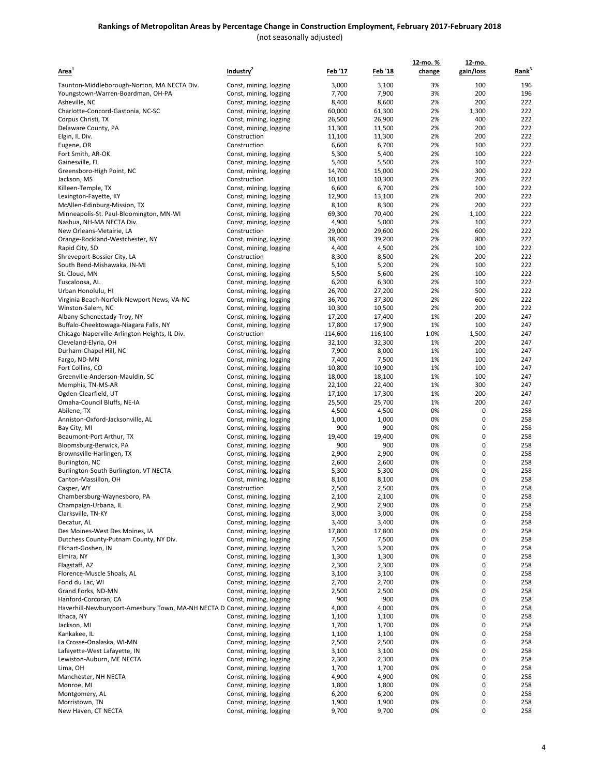| Area <sup>1</sup>                                                                                 | Industry <sup>4</sup>                            | <u>Feb '17</u>  | <u>Feb '18</u>  | 12-mo.%<br>change | 12-mo.<br>gain/loss | Rank <sup>3</sup> |
|---------------------------------------------------------------------------------------------------|--------------------------------------------------|-----------------|-----------------|-------------------|---------------------|-------------------|
|                                                                                                   |                                                  |                 |                 | 3%                | 100                 | 196               |
| Taunton-Middleborough-Norton, MA NECTA Div.<br>Youngstown-Warren-Boardman, OH-PA                  | Const, mining, logging<br>Const, mining, logging | 3,000<br>7,700  | 3,100<br>7,900  | 3%                | 200                 | 196               |
| Asheville, NC                                                                                     | Const, mining, logging                           | 8,400           | 8,600           | 2%                | 200                 | 222               |
| Charlotte-Concord-Gastonia, NC-SC                                                                 | Const, mining, logging                           | 60,000          | 61,300          | 2%                | 1,300               | 222               |
| Corpus Christi, TX                                                                                | Const, mining, logging                           | 26,500          | 26,900          | 2%                | 400                 | 222               |
| Delaware County, PA                                                                               | Const, mining, logging                           | 11,300          | 11,500          | 2%                | 200                 | 222               |
| Elgin, IL Div.                                                                                    | Construction                                     | 11,100          | 11,300          | 2%                | 200                 | 222               |
| Eugene, OR                                                                                        | Construction                                     | 6,600           | 6,700           | 2%                | 100                 | 222               |
| Fort Smith, AR-OK                                                                                 | Const, mining, logging                           | 5,300           | 5,400           | 2%                | 100                 | 222               |
| Gainesville, FL                                                                                   | Const, mining, logging                           | 5,400           | 5,500           | 2%                | 100                 | 222               |
| Greensboro-High Point, NC                                                                         | Const, mining, logging                           | 14,700          | 15,000          | 2%                | 300                 | 222               |
| Jackson, MS                                                                                       | Construction                                     | 10,100          | 10,300          | 2%                | 200                 | 222               |
| Killeen-Temple, TX                                                                                | Const, mining, logging                           | 6,600           | 6,700           | 2%                | 100                 | 222               |
| Lexington-Fayette, KY                                                                             | Const, mining, logging                           | 12,900          | 13,100          | 2%                | 200                 | 222               |
| McAllen-Edinburg-Mission, TX                                                                      | Const, mining, logging                           | 8,100           | 8,300           | 2%                | 200                 | 222               |
| Minneapolis-St. Paul-Bloomington, MN-WI                                                           | Const, mining, logging                           | 69,300          | 70,400          | 2%                | 1,100               | 222               |
| Nashua, NH-MA NECTA Div.                                                                          | Const, mining, logging                           | 4,900           | 5,000           | 2%                | 100                 | 222               |
| New Orleans-Metairie, LA                                                                          | Construction                                     | 29,000          | 29,600          | 2%                | 600                 | 222               |
| Orange-Rockland-Westchester, NY                                                                   | Const, mining, logging                           | 38,400          | 39,200          | 2%                | 800                 | 222               |
| Rapid City, SD                                                                                    | Const, mining, logging                           | 4,400           | 4,500           | 2%                | 100                 | 222               |
| Shreveport-Bossier City, LA                                                                       | Construction                                     | 8,300           | 8,500           | 2%                | 200                 | 222               |
| South Bend-Mishawaka, IN-MI                                                                       | Const, mining, logging                           | 5,100           | 5,200           | 2%                | 100                 | 222               |
| St. Cloud, MN                                                                                     | Const, mining, logging                           | 5,500           | 5,600           | 2%                | 100                 | 222               |
| Tuscaloosa, AL                                                                                    | Const, mining, logging                           | 6,200           | 6,300           | 2%                | 100                 | 222               |
| Urban Honolulu, HI                                                                                | Const, mining, logging                           | 26,700          | 27,200          | 2%                | 500                 | 222               |
| Virginia Beach-Norfolk-Newport News, VA-NC                                                        | Const, mining, logging                           | 36,700          | 37,300          | 2%                | 600                 | 222               |
| Winston-Salem, NC                                                                                 | Const, mining, logging                           | 10,300          | 10,500          | 2%                | 200                 | 222               |
| Albany-Schenectady-Troy, NY                                                                       | Const, mining, logging                           | 17,200          | 17,400          | 1%                | 200                 | 247               |
| Buffalo-Cheektowaga-Niagara Falls, NY                                                             | Const, mining, logging                           | 17,800          | 17,900          | 1%                | 100                 | 247<br>247        |
| Chicago-Naperville-Arlington Heights, IL Div.                                                     | Construction                                     | 114,600         | 116,100         | 1.0%              | 1,500               |                   |
| Cleveland-Elyria, OH<br>Durham-Chapel Hill, NC                                                    | Const, mining, logging                           | 32,100<br>7,900 | 32,300<br>8,000 | 1%<br>1%          | 200<br>100          | 247<br>247        |
| Fargo, ND-MN                                                                                      | Const, mining, logging<br>Const, mining, logging | 7,400           | 7,500           | 1%                | 100                 | 247               |
| Fort Collins, CO                                                                                  | Const, mining, logging                           | 10,800          | 10,900          | 1%                | 100                 | 247               |
| Greenville-Anderson-Mauldin, SC                                                                   | Const, mining, logging                           | 18,000          | 18,100          | 1%                | 100                 | 247               |
| Memphis, TN-MS-AR                                                                                 | Const, mining, logging                           | 22,100          | 22,400          | 1%                | 300                 | 247               |
| Ogden-Clearfield, UT                                                                              | Const, mining, logging                           | 17,100          | 17,300          | 1%                | 200                 | 247               |
| Omaha-Council Bluffs, NE-IA                                                                       | Const, mining, logging                           | 25,500          | 25,700          | 1%                | 200                 | 247               |
| Abilene, TX                                                                                       | Const, mining, logging                           | 4,500           | 4,500           | 0%                | 0                   | 258               |
| Anniston-Oxford-Jacksonville, AL                                                                  | Const, mining, logging                           | 1,000           | 1,000           | 0%                | 0                   | 258               |
| Bay City, MI                                                                                      | Const, mining, logging                           | 900             | 900             | 0%                | 0                   | 258               |
| Beaumont-Port Arthur, TX                                                                          | Const, mining, logging                           | 19,400          | 19,400          | 0%                | 0                   | 258               |
| Bloomsburg-Berwick, PA                                                                            | Const, mining, logging                           | 900             | 900             | 0%                | 0                   | 258               |
| Brownsville-Harlingen, TX                                                                         | Const, mining, logging                           | 2,900           | 2,900           | 0%                | 0                   | 258               |
| Burlington, NC                                                                                    | Const, mining, logging                           | 2,600           | 2,600           | 0%                | 0                   | 258               |
| Burlington-South Burlington, VT NECTA                                                             | Const, mining, logging                           | 5,300           | 5,300           | 0%                | 0                   | 258               |
| Canton-Massillon, OH                                                                              | Const, mining, logging                           | 8,100           | 8,100           | 0%                | 0                   | 258               |
| Casper, WY                                                                                        | Construction                                     | 2,500           | 2,500           | 0%                | 0                   | 258               |
| Chambersburg-Waynesboro, PA                                                                       | Const, mining, logging                           | 2,100           | 2,100           | 0%                | 0                   | 258               |
| Champaign-Urbana, IL                                                                              | Const, mining, logging                           | 2,900           | 2,900           | 0%                | 0                   | 258               |
| Clarksville, TN-KY                                                                                | Const, mining, logging                           | 3,000           | 3,000           | 0%                | 0                   | 258               |
| Decatur, AL                                                                                       | Const, mining, logging                           | 3,400           | 3,400           | 0%                | 0                   | 258               |
| Des Moines-West Des Moines, IA                                                                    | Const, mining, logging                           | 17,800          | 17,800          | 0%                | 0                   | 258               |
| Dutchess County-Putnam County, NY Div.                                                            | Const, mining, logging                           | 7,500           | 7,500           | 0%                | 0                   | 258               |
| Elkhart-Goshen, IN                                                                                | Const, mining, logging                           | 3,200           | 3,200           | 0%                | 0                   | 258               |
| Elmira, NY                                                                                        | Const, mining, logging                           | 1,300           | 1,300           | 0%                | 0                   | 258               |
| Flagstaff, AZ                                                                                     | Const, mining, logging                           | 2,300           | 2,300           | 0%                | 0                   | 258               |
| Florence-Muscle Shoals, AL                                                                        | Const, mining, logging                           | 3,100           | 3,100           | 0%                | 0                   | 258               |
| Fond du Lac, WI                                                                                   | Const, mining, logging                           | 2,700           | 2,700           | 0%                | 0                   | 258               |
| Grand Forks, ND-MN                                                                                | Const, mining, logging                           | 2,500           | 2,500           | 0%                | 0                   | 258               |
| Hanford-Corcoran, CA<br>Haverhill-Newburyport-Amesbury Town, MA-NH NECTA D Const, mining, logging | Const, mining, logging                           | 900             | 900<br>4,000    | 0%<br>0%          | 0<br>0              | 258<br>258        |
| Ithaca, NY                                                                                        | Const, mining, logging                           | 4,000<br>1,100  | 1,100           | 0%                | 0                   | 258               |
| Jackson, MI                                                                                       |                                                  |                 | 1,700           | 0%                | 0                   | 258               |
| Kankakee, IL                                                                                      | Const, mining, logging<br>Const, mining, logging | 1,700<br>1,100  | 1,100           | 0%                | 0                   | 258               |
| La Crosse-Onalaska, WI-MN                                                                         | Const, mining, logging                           | 2,500           | 2,500           | 0%                | 0                   | 258               |
| Lafayette-West Lafayette, IN                                                                      | Const, mining, logging                           | 3,100           | 3,100           | 0%                | 0                   | 258               |
| Lewiston-Auburn, ME NECTA                                                                         | Const, mining, logging                           | 2,300           | 2,300           | 0%                | 0                   | 258               |
| Lima, OH                                                                                          | Const, mining, logging                           | 1,700           | 1,700           | 0%                | 0                   | 258               |
| Manchester, NH NECTA                                                                              | Const, mining, logging                           | 4,900           | 4,900           | 0%                | 0                   | 258               |
| Monroe, MI                                                                                        | Const, mining, logging                           | 1,800           | 1,800           | 0%                | 0                   | 258               |
| Montgomery, AL                                                                                    | Const, mining, logging                           | 6,200           | 6,200           | 0%                | 0                   | 258               |
| Morristown, TN                                                                                    | Const, mining, logging                           | 1,900           | 1,900           | 0%                | 0                   | 258               |
| New Haven, CT NECTA                                                                               | Const, mining, logging                           | 9,700           | 9,700           | 0%                | 0                   | 258               |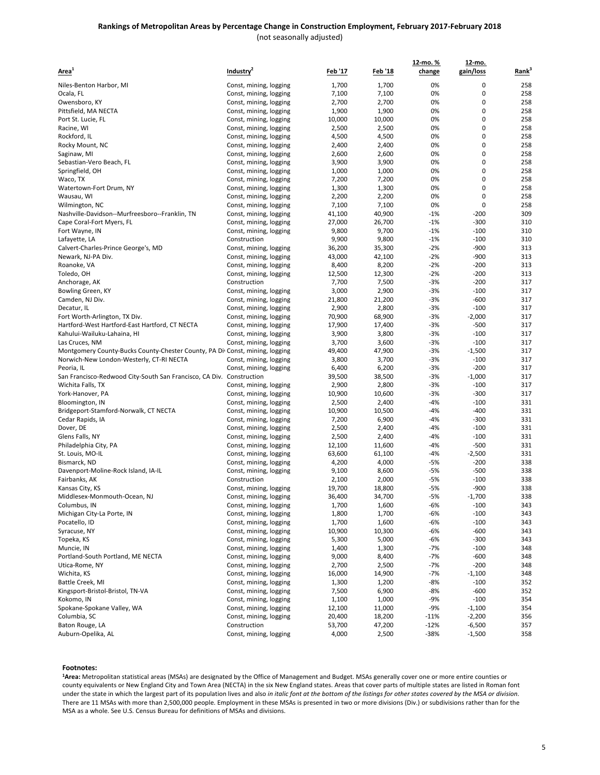|                                                                              |                        |                |         | 12-mo. % | 12-mo.      |                   |
|------------------------------------------------------------------------------|------------------------|----------------|---------|----------|-------------|-------------------|
| Area <sup>1</sup>                                                            | Industry <sup>2</sup>  | <u>Feb '17</u> | Feb '18 | change   | gain/loss   | Rank <sup>3</sup> |
|                                                                              |                        |                |         |          |             |                   |
| Niles-Benton Harbor, MI                                                      | Const, mining, logging | 1,700          | 1,700   | 0%       | 0           | 258               |
| Ocala, FL                                                                    | Const, mining, logging | 7,100          | 7,100   | 0%<br>0% | 0<br>0      | 258<br>258        |
| Owensboro, KY                                                                | Const, mining, logging | 2,700          | 2,700   |          |             |                   |
| Pittsfield, MA NECTA                                                         | Const, mining, logging | 1,900          | 1,900   | 0%       | 0           | 258               |
| Port St. Lucie, FL                                                           | Const, mining, logging | 10,000         | 10,000  | 0%       | 0           | 258               |
| Racine, WI                                                                   | Const, mining, logging | 2,500          | 2,500   | 0%       | 0           | 258               |
| Rockford, IL                                                                 | Const, mining, logging | 4,500          | 4,500   | 0%       | 0           | 258               |
| Rocky Mount, NC                                                              | Const, mining, logging | 2,400          | 2,400   | 0%       | 0           | 258               |
| Saginaw, MI                                                                  | Const, mining, logging | 2,600          | 2,600   | 0%       | $\mathbf 0$ | 258               |
| Sebastian-Vero Beach, FL                                                     | Const, mining, logging | 3,900          | 3,900   | 0%       | 0           | 258               |
| Springfield, OH                                                              | Const, mining, logging | 1,000          | 1,000   | 0%       | 0           | 258               |
| Waco, TX                                                                     | Const, mining, logging | 7,200          | 7,200   | 0%       | 0           | 258               |
| Watertown-Fort Drum, NY                                                      | Const, mining, logging | 1,300          | 1,300   | 0%       | 0           | 258               |
| Wausau, WI                                                                   | Const, mining, logging | 2,200          | 2,200   | 0%       | 0           | 258               |
| Wilmington, NC                                                               | Const, mining, logging | 7,100          | 7,100   | 0%       | 0           | 258               |
| Nashville-Davidson--Murfreesboro--Franklin, TN                               | Const, mining, logging | 41,100         | 40,900  | $-1%$    | -200        | 309               |
| Cape Coral-Fort Myers, FL                                                    | Const, mining, logging | 27,000         | 26,700  | $-1%$    | -300        | 310               |
| Fort Wayne, IN                                                               | Const, mining, logging | 9,800          | 9,700   | $-1%$    | $-100$      | 310               |
| Lafayette, LA                                                                | Construction           | 9,900          | 9,800   | $-1%$    | $-100$      | 310               |
| Calvert-Charles-Prince George's, MD                                          | Const, mining, logging | 36,200         | 35,300  | $-2%$    | -900        | 313               |
| Newark, NJ-PA Div.                                                           | Const, mining, logging | 43,000         | 42,100  | $-2%$    | -900        | 313               |
| Roanoke, VA                                                                  | Const, mining, logging | 8,400          | 8,200   | $-2%$    | $-200$      | 313               |
| Toledo, OH                                                                   | Const, mining, logging | 12,500         | 12,300  | $-2%$    | $-200$      | 313               |
| Anchorage, AK                                                                | Construction           | 7,700          | 7,500   | $-3%$    | $-200$      | 317               |
| Bowling Green, KY                                                            | Const, mining, logging | 3,000          | 2,900   | $-3%$    | $-100$      | 317               |
| Camden, NJ Div.                                                              | Const, mining, logging | 21,800         | 21,200  | $-3%$    | $-600$      | 317               |
| Decatur, IL                                                                  | Const, mining, logging | 2,900          | 2,800   | $-3%$    | $-100$      | 317               |
| Fort Worth-Arlington, TX Div.                                                | Const, mining, logging | 70,900         | 68,900  | $-3%$    | $-2,000$    | 317               |
| Hartford-West Hartford-East Hartford, CT NECTA                               | Const, mining, logging | 17,900         | 17,400  | $-3%$    | $-500$      | 317               |
| Kahului-Wailuku-Lahaina, HI                                                  | Const, mining, logging | 3,900          | 3,800   | $-3%$    | $-100$      | 317               |
| Las Cruces, NM                                                               | Const, mining, logging | 3,700          | 3,600   | $-3%$    | $-100$      | 317               |
| Montgomery County-Bucks County-Chester County, PA Div Const, mining, logging |                        | 49,400         | 47,900  | $-3%$    | $-1,500$    | 317               |
| Norwich-New London-Westerly, CT-RI NECTA                                     | Const, mining, logging | 3,800          | 3,700   | $-3%$    | -100        | 317               |
| Peoria, IL                                                                   | Const, mining, logging | 6,400          | 6,200   | $-3%$    | $-200$      | 317               |
| San Francisco-Redwood City-South San Francisco, CA Div. Construction         |                        | 39,500         | 38,500  | $-3%$    | $-1,000$    | 317               |
| Wichita Falls, TX                                                            | Const, mining, logging | 2,900          | 2,800   | $-3%$    | $-100$      | 317               |
| York-Hanover, PA                                                             | Const, mining, logging | 10,900         | 10,600  | $-3%$    | $-300$      | 317               |
| Bloomington, IN                                                              | Const, mining, logging | 2,500          | 2,400   | -4%      | $-100$      | 331               |
| Bridgeport-Stamford-Norwalk, CT NECTA                                        | Const, mining, logging | 10,900         | 10,500  | $-4%$    | $-400$      | 331               |
| Cedar Rapids, IA                                                             | Const, mining, logging | 7,200          | 6,900   | -4%      | -300        | 331               |
| Dover, DE                                                                    | Const, mining, logging | 2,500          | 2,400   | -4%      | $-100$      | 331               |
| Glens Falls, NY                                                              | Const, mining, logging | 2,500          | 2,400   | $-4%$    | $-100$      | 331               |
| Philadelphia City, PA                                                        | Const, mining, logging | 12,100         | 11,600  | -4%      | -500        | 331               |
| St. Louis, MO-IL                                                             | Const, mining, logging | 63,600         | 61,100  | -4%      | $-2,500$    | 331               |
| Bismarck, ND                                                                 | Const, mining, logging | 4,200          | 4,000   | -5%      | $-200$      | 338               |
| Davenport-Moline-Rock Island, IA-IL                                          | Const, mining, logging | 9,100          | 8,600   | -5%      | -500        | 338               |
| Fairbanks, AK                                                                | Construction           | 2,100          | 2,000   | $-5%$    | $-100$      | 338               |
| Kansas City, KS                                                              | Const, mining, logging | 19,700         | 18,800  | $-5%$    | $-900$      | 338               |
| Middlesex-Monmouth-Ocean, NJ                                                 | Const, mining, logging | 36,400         | 34,700  | $-5%$    | $-1,700$    | 338               |
| Columbus, IN                                                                 | Const, mining, logging | 1,700          | 1,600   | $-6%$    | $-100$      | 343               |
| Michigan City-La Porte, IN                                                   | Const, mining, logging | 1,800          | 1,700   | $-6%$    | $-100$      | 343               |
| Pocatello, ID                                                                | Const, mining, logging | 1,700          | 1,600   | -6%      | $-100$      | 343               |
| Syracuse, NY                                                                 | Const, mining, logging | 10,900         | 10,300  | -6%      | $-600$      | 343               |
| Topeka, KS                                                                   | Const, mining, logging | 5,300          | 5,000   | $-6%$    | $-300$      | 343               |
| Muncie, IN                                                                   | Const, mining, logging | 1,400          | 1,300   | $-7%$    | $-100$      | 348               |
| Portland-South Portland, ME NECTA                                            | Const, mining, logging | 9,000          | 8,400   | $-7%$    | $-600$      | 348               |
| Utica-Rome, NY                                                               | Const, mining, logging | 2,700          | 2,500   | $-7%$    | $-200$      | 348               |
| Wichita, KS                                                                  | Const, mining, logging | 16,000         | 14,900  | $-7%$    | $-1,100$    | 348               |
| Battle Creek, MI                                                             | Const, mining, logging | 1,300          | 1,200   | -8%      | $-100$      | 352               |
| Kingsport-Bristol-Bristol, TN-VA                                             | Const, mining, logging | 7,500          | 6,900   | -8%      | $-600$      | 352               |
| Kokomo, IN                                                                   | Const, mining, logging | 1,100          | 1,000   | $-9%$    | $-100$      | 354               |
| Spokane-Spokane Valley, WA                                                   | Const, mining, logging | 12,100         | 11,000  | -9%      | $-1,100$    | 354               |
| Columbia, SC                                                                 | Const, mining, logging | 20,400         | 18,200  | $-11%$   | $-2,200$    | 356               |
| Baton Rouge, LA                                                              | Construction           | 53,700         | 47,200  | $-12%$   | $-6,500$    | 357               |
| Auburn-Opelika, AL                                                           | Const, mining, logging | 4,000          | 2,500   | -38%     | $-1,500$    | 358               |
|                                                                              |                        |                |         |          |             |                   |

#### **Footnotes:**

**1Area:** Metropolitan statistical areas (MSAs) are designated by the Office of Management and Budget. MSAs generally cover one or more entire counties or county equivalents or New England City and Town Area (NECTA) in the six New England states. Areas that cover parts of multiple states are listed in Roman font under the state in which the largest part of its population lives and also *in italic font at the bottom of the listings for other states covered by the MSA or division.* There are 11 MSAs with more than 2,500,000 people. Employment in these MSAs is presented in two or more divisions (Div.) or subdivisions rather than for the MSA as a whole. See U.S. Census Bureau for definitions of MSAs and divisions.